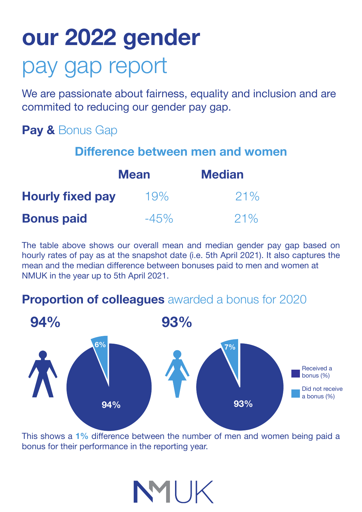# **our 2022 gender** pay gap report

We are passionate about fairness, equality and inclusion and are commited to reducing our gender pay gap.

### **Pay &** Bonus Gap

#### **Difference between men and women**

| <b>Mean</b>             |         | <b>Median</b> |
|-------------------------|---------|---------------|
| <b>Hourly fixed pay</b> | 19%     | 21%           |
| <b>Bonus paid</b>       | $-45\%$ | $21\%$        |

The table above shows our overall mean and median gender pay gap based on hourly rates of pay as at the snapshot date (i.e. 5th April 2021). It also captures the mean and the median difference between bonuses paid to men and women at NMUK in the year up to 5th April 2021.

#### **Proportion of colleagues** awarded a bonus for 2020



This shows a **1%** difference between the number of men and women being paid a bonus for their performance in the reporting year.

NMIK